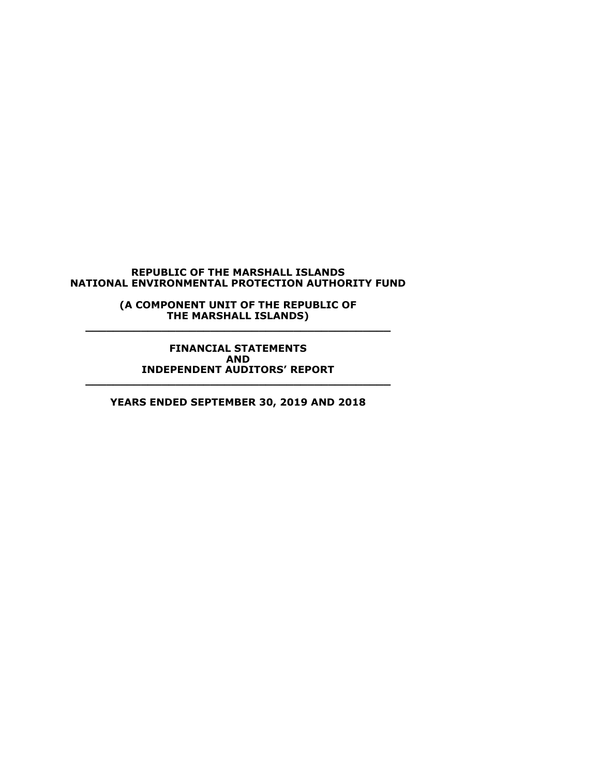# **REPUBLIC OF THE MARSHALL ISLANDS NATIONAL ENVIRONMENTAL PROTECTION AUTHORITY FUND**

**(A COMPONENT UNIT OF THE REPUBLIC OF THE MARSHALL ISLANDS) \_\_\_\_\_\_\_\_\_\_\_\_\_\_\_\_\_\_\_\_\_\_\_\_\_\_\_\_\_\_\_\_\_\_\_\_\_\_\_\_\_\_\_\_**

**FINANCIAL STATEMENTS AND INDEPENDENT AUDITORS' REPORT \_\_\_\_\_\_\_\_\_\_\_\_\_\_\_\_\_\_\_\_\_\_\_\_\_\_\_\_\_\_\_\_\_\_\_\_\_\_\_\_\_\_\_\_**

**YEARS ENDED SEPTEMBER 30, 2019 AND 2018**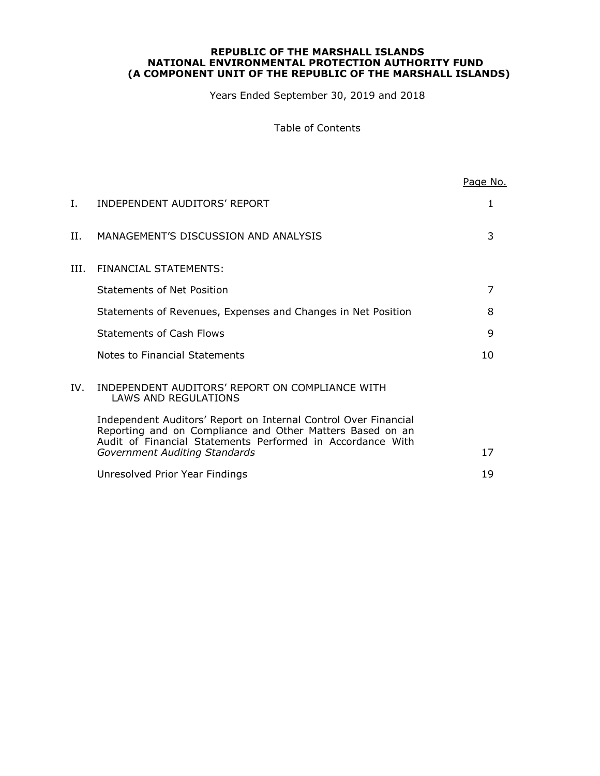Years Ended September 30, 2019 and 2018

Table of Contents

|     |                                                                                                                                                                                                                             | Page No. |
|-----|-----------------------------------------------------------------------------------------------------------------------------------------------------------------------------------------------------------------------------|----------|
| Ι.  | INDEPENDENT AUDITORS' REPORT                                                                                                                                                                                                | 1        |
| H.  | MANAGEMENT'S DISCUSSION AND ANALYSIS                                                                                                                                                                                        | 3        |
| HL. | FINANCIAL STATEMENTS:                                                                                                                                                                                                       |          |
|     | Statements of Net Position                                                                                                                                                                                                  | 7        |
|     | Statements of Revenues, Expenses and Changes in Net Position                                                                                                                                                                | 8        |
|     | Statements of Cash Flows                                                                                                                                                                                                    | 9        |
|     | Notes to Financial Statements                                                                                                                                                                                               | 10       |
| IV. | INDEPENDENT AUDITORS' REPORT ON COMPLIANCE WITH<br><b>LAWS AND REGULATIONS</b>                                                                                                                                              |          |
|     | Independent Auditors' Report on Internal Control Over Financial<br>Reporting and on Compliance and Other Matters Based on an<br>Audit of Financial Statements Performed in Accordance With<br>Government Auditing Standards | 17       |
|     | Unresolved Prior Year Findings                                                                                                                                                                                              | 19       |
|     |                                                                                                                                                                                                                             |          |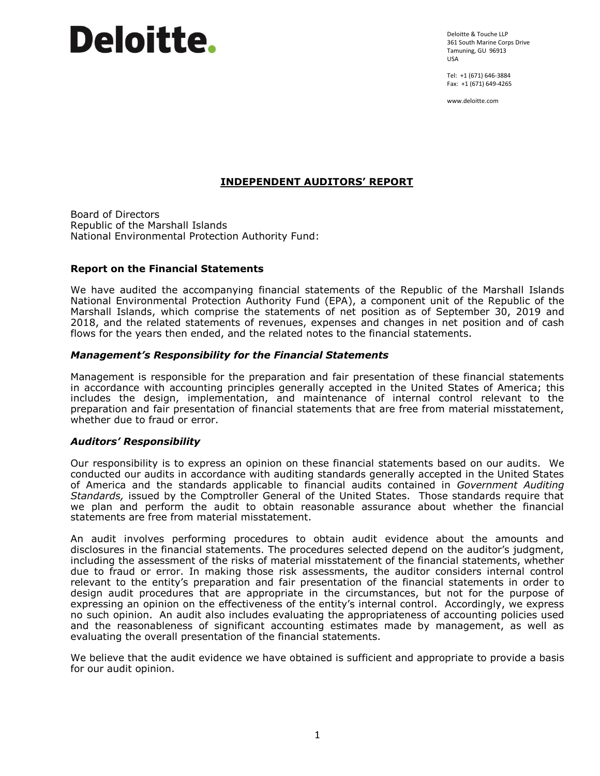# **Deloitte.**

Deloitte & Touche LLP 361 South Marine Corps Drive Tamuning, GU 96913 USA

Tel: +1 (671) 646-3884 Fax: +1 (671) 649-4265

www.deloitte.com

# **INDEPENDENT AUDITORS' REPORT**

Board of Directors Republic of the Marshall Islands National Environmental Protection Authority Fund:

# **Report on the Financial Statements**

We have audited the accompanying financial statements of the Republic of the Marshall Islands National Environmental Protection Authority Fund (EPA), a component unit of the Republic of the Marshall Islands, which comprise the statements of net position as of September 30, 2019 and 2018, and the related statements of revenues, expenses and changes in net position and of cash flows for the years then ended, and the related notes to the financial statements.

# *Management's Responsibility for the Financial Statements*

Management is responsible for the preparation and fair presentation of these financial statements in accordance with accounting principles generally accepted in the United States of America; this includes the design, implementation, and maintenance of internal control relevant to the preparation and fair presentation of financial statements that are free from material misstatement, whether due to fraud or error.

# *Auditors' Responsibility*

Our responsibility is to express an opinion on these financial statements based on our audits. We conducted our audits in accordance with auditing standards generally accepted in the United States of America and the standards applicable to financial audits contained in *Government Auditing Standards,* issued by the Comptroller General of the United States. Those standards require that we plan and perform the audit to obtain reasonable assurance about whether the financial statements are free from material misstatement.

An audit involves performing procedures to obtain audit evidence about the amounts and disclosures in the financial statements. The procedures selected depend on the auditor's judgment, including the assessment of the risks of material misstatement of the financial statements, whether due to fraud or error. In making those risk assessments, the auditor considers internal control relevant to the entity's preparation and fair presentation of the financial statements in order to design audit procedures that are appropriate in the circumstances, but not for the purpose of expressing an opinion on the effectiveness of the entity's internal control. Accordingly, we express no such opinion. An audit also includes evaluating the appropriateness of accounting policies used and the reasonableness of significant accounting estimates made by management, as well as evaluating the overall presentation of the financial statements.

We believe that the audit evidence we have obtained is sufficient and appropriate to provide a basis for our audit opinion.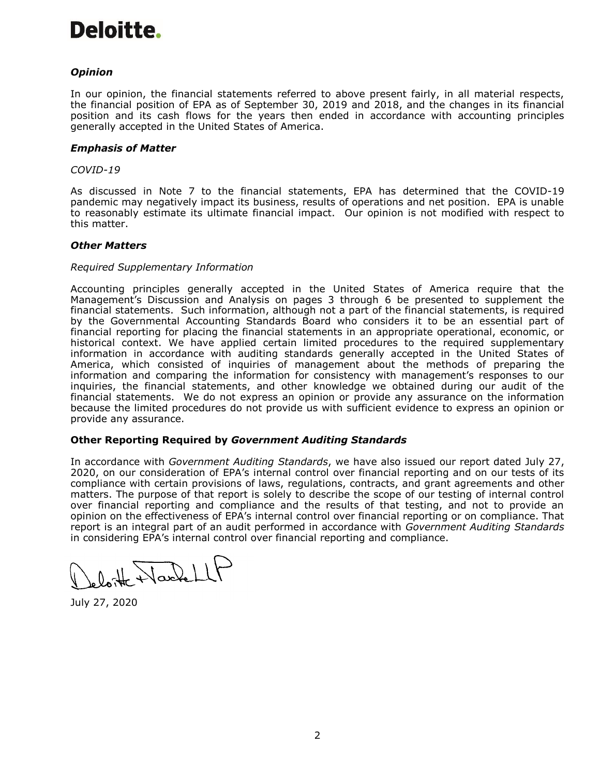# Deloitte.

# *Opinion*

In our opinion, the financial statements referred to above present fairly, in all material respects, the financial position of EPA as of September 30, 2019 and 2018, and the changes in its financial position and its cash flows for the years then ended in accordance with accounting principles generally accepted in the United States of America.

# *Emphasis of Matter*

# *COVID-19*

As discussed in Note 7 to the financial statements, EPA has determined that the COVID-19 pandemic may negatively impact its business, results of operations and net position. EPA is unable to reasonably estimate its ultimate financial impact. Our opinion is not modified with respect to this matter.

# *Other Matters*

# *Required Supplementary Information*

Accounting principles generally accepted in the United States of America require that the Management's Discussion and Analysis on pages 3 through 6 be presented to supplement the financial statements. Such information, although not a part of the financial statements, is required by the Governmental Accounting Standards Board who considers it to be an essential part of financial reporting for placing the financial statements in an appropriate operational, economic, or historical context. We have applied certain limited procedures to the required supplementary information in accordance with auditing standards generally accepted in the United States of America, which consisted of inquiries of management about the methods of preparing the information and comparing the information for consistency with management's responses to our inquiries, the financial statements, and other knowledge we obtained during our audit of the financial statements. We do not express an opinion or provide any assurance on the information because the limited procedures do not provide us with sufficient evidence to express an opinion or provide any assurance.

# **Other Reporting Required by** *Government Auditing Standards*

In accordance with *Government Auditing Standards*, we have also issued our report dated July 27, 2020, on our consideration of EPA's internal control over financial reporting and on our tests of its compliance with certain provisions of laws, regulations, contracts, and grant agreements and other matters. The purpose of that report is solely to describe the scope of our testing of internal control over financial reporting and compliance and the results of that testing, and not to provide an opinion on the effectiveness of EPA's internal control over financial reporting or on compliance. That report is an integral part of an audit performed in accordance with *Government Auditing Standards* in considering EPA's internal control over financial reporting and compliance.

loite Nachell

July 27, 2020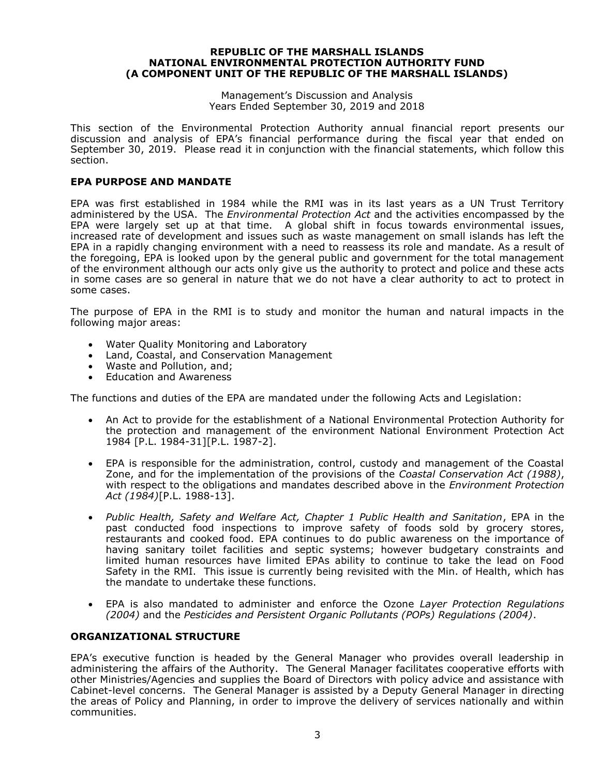#### Management's Discussion and Analysis Years Ended September 30, 2019 and 2018

This section of the Environmental Protection Authority annual financial report presents our discussion and analysis of EPA's financial performance during the fiscal year that ended on September 30, 2019. Please read it in conjunction with the financial statements, which follow this section.

# **EPA PURPOSE AND MANDATE**

EPA was first established in 1984 while the RMI was in its last years as a UN Trust Territory administered by the USA. The *Environmental Protection Act* and the activities encompassed by the EPA were largely set up at that time. A global shift in focus towards environmental issues, increased rate of development and issues such as waste management on small islands has left the EPA in a rapidly changing environment with a need to reassess its role and mandate. As a result of the foregoing, EPA is looked upon by the general public and government for the total management of the environment although our acts only give us the authority to protect and police and these acts in some cases are so general in nature that we do not have a clear authority to act to protect in some cases.

The purpose of EPA in the RMI is to study and monitor the human and natural impacts in the following major areas:

- Water Quality Monitoring and Laboratory
- Land, Coastal, and Conservation Management
- Waste and Pollution, and;
- Education and Awareness

The functions and duties of the EPA are mandated under the following Acts and Legislation:

- An Act to provide for the establishment of a National Environmental Protection Authority for the protection and management of the environment National Environment Protection Act 1984 [P.L. 1984-31][P.L. 1987-2].
- EPA is responsible for the administration, control, custody and management of the Coastal Zone, and for the implementation of the provisions of the *Coastal Conservation Act (1988)*, with respect to the obligations and mandates described above in the *Environment Protection Act (1984)*[P.L. 1988-13].
- *Public Health, Safety and Welfare Act, Chapter 1 Public Health and Sanitation*, EPA in the past conducted food inspections to improve safety of foods sold by grocery stores, restaurants and cooked food. EPA continues to do public awareness on the importance of having sanitary toilet facilities and septic systems; however budgetary constraints and limited human resources have limited EPAs ability to continue to take the lead on Food Safety in the RMI. This issue is currently being revisited with the Min. of Health, which has the mandate to undertake these functions.
- EPA is also mandated to administer and enforce the Ozone *Layer Protection Regulations (2004)* and the *Pesticides and Persistent Organic Pollutants (POPs) Regulations (2004)*.

# **ORGANIZATIONAL STRUCTURE**

EPA's executive function is headed by the General Manager who provides overall leadership in administering the affairs of the Authority. The General Manager facilitates cooperative efforts with other Ministries/Agencies and supplies the Board of Directors with policy advice and assistance with Cabinet-level concerns. The General Manager is assisted by a Deputy General Manager in directing the areas of Policy and Planning, in order to improve the delivery of services nationally and within communities.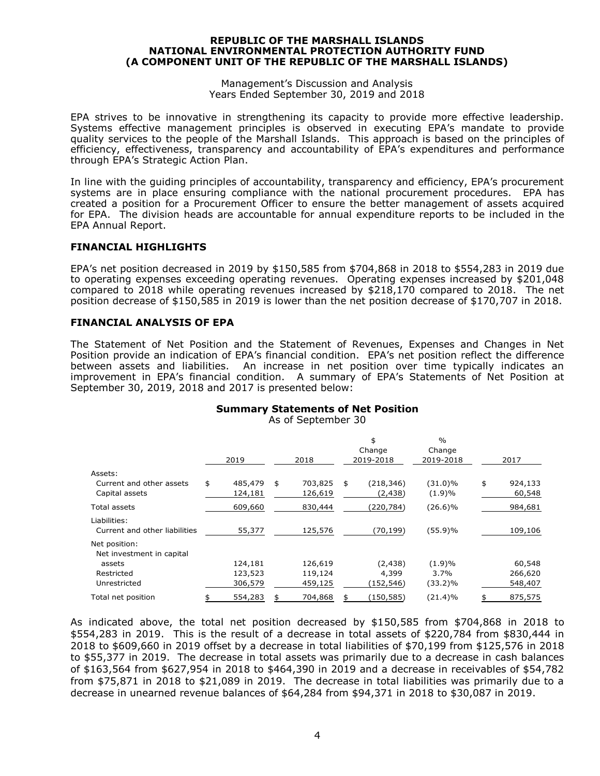#### Management's Discussion and Analysis Years Ended September 30, 2019 and 2018

EPA strives to be innovative in strengthening its capacity to provide more effective leadership. Systems effective management principles is observed in executing EPA's mandate to provide quality services to the people of the Marshall Islands. This approach is based on the principles of efficiency, effectiveness, transparency and accountability of EPA's expenditures and performance through EPA's Strategic Action Plan.

In line with the guiding principles of accountability, transparency and efficiency, EPA's procurement systems are in place ensuring compliance with the national procurement procedures. EPA has created a position for a Procurement Officer to ensure the better management of assets acquired for EPA. The division heads are accountable for annual expenditure reports to be included in the EPA Annual Report.

# **FINANCIAL HIGHLIGHTS**

EPA's net position decreased in 2019 by \$150,585 from \$704,868 in 2018 to \$554,283 in 2019 due to operating expenses exceeding operating revenues. Operating expenses increased by \$201,048 compared to 2018 while operating revenues increased by \$218,170 compared to 2018. The net position decrease of \$150,585 in 2019 is lower than the net position decrease of \$170,707 in 2018.

# **FINANCIAL ANALYSIS OF EPA**

The Statement of Net Position and the Statement of Revenues, Expenses and Changes in Net Position provide an indication of EPA's financial condition. EPA's net position reflect the difference between assets and liabilities. An increase in net position over time typically indicates an improvement in EPA's financial condition. A summary of EPA's Statements of Net Position at September 30, 2019, 2018 and 2017 is presented below:

# **Summary Statements of Net Position**

|                                                       | 2019                     | 2018                     | \$<br>Change<br>2019-2018    | $\frac{0}{0}$<br>Change<br>2019-2018 | 2017                    |
|-------------------------------------------------------|--------------------------|--------------------------|------------------------------|--------------------------------------|-------------------------|
| Assets:<br>Current and other assets<br>Capital assets | \$<br>485,479<br>124,181 | \$<br>703,825<br>126,619 | \$<br>(218, 346)<br>(2, 438) | $(31.0)\%$<br>(1.9)%                 | \$<br>924,133<br>60,548 |
| Total assets                                          | 609,660                  | 830,444                  | (220,784)                    | $(26.6)\%$                           | 984,681                 |
| Liabilities:<br>Current and other liabilities         | 55,377                   | 125,576                  | (70, 199)                    | (55.9)%                              | 109,106                 |
| Net position:<br>Net investment in capital            |                          |                          |                              |                                      |                         |
| assets<br>Restricted                                  | 124,181<br>123,523       | 126,619<br>119,124       | (2, 438)<br>4,399            | (1.9)%<br>3.7%                       | 60,548<br>266,620       |
| Unrestricted<br>Total net position                    | 306,579<br>554,283       | 459,125<br>704,868       | (152, 546)<br>(150, 585)     | $(33.2)\%$<br>$(21.4)\%$             | 548,407<br>875,575      |
|                                                       |                          |                          |                              |                                      |                         |

As of September 30

As indicated above, the total net position decreased by \$150,585 from \$704,868 in 2018 to \$554,283 in 2019. This is the result of a decrease in total assets of \$220,784 from \$830,444 in 2018 to \$609,660 in 2019 offset by a decrease in total liabilities of \$70,199 from \$125,576 in 2018 to \$55,377 in 2019. The decrease in total assets was primarily due to a decrease in cash balances of \$163,564 from \$627,954 in 2018 to \$464,390 in 2019 and a decrease in receivables of \$54,782 from \$75,871 in 2018 to \$21,089 in 2019. The decrease in total liabilities was primarily due to a decrease in unearned revenue balances of \$64,284 from \$94,371 in 2018 to \$30,087 in 2019.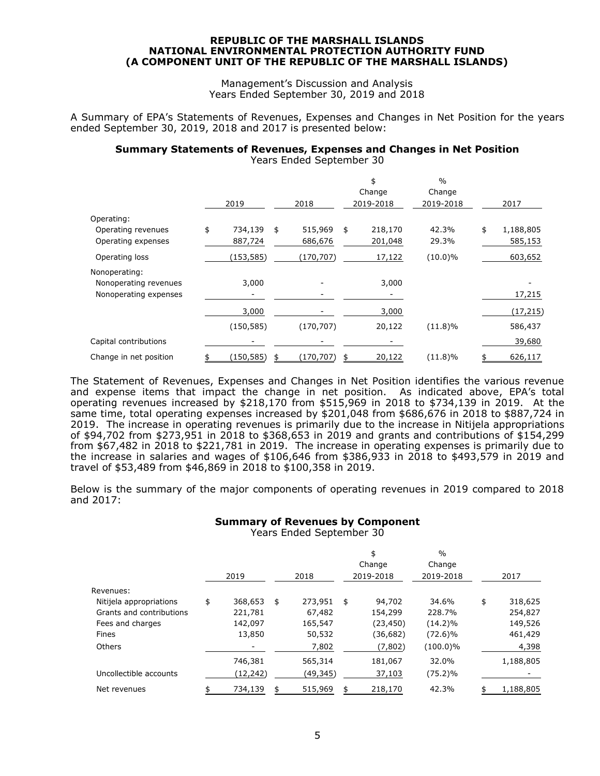Management's Discussion and Analysis Years Ended September 30, 2019 and 2018

A Summary of EPA's Statements of Revenues, Expenses and Changes in Net Position for the years ended September 30, 2019, 2018 and 2017 is presented below:

#### **Summary Statements of Revenues, Expenses and Changes in Net Position** Years Ended September 30

|                        | 2019             | 2018             | \$<br>Change<br>2019-2018 | $\frac{0}{0}$<br>Change<br>2019-2018 | 2017            |
|------------------------|------------------|------------------|---------------------------|--------------------------------------|-----------------|
| Operating:             |                  |                  |                           |                                      |                 |
| Operating revenues     | \$<br>734,139    | \$<br>515,969    | \$<br>218,170             | 42.3%                                | \$<br>1,188,805 |
| Operating expenses     | 887,724          | 686,676          | 201,048                   | 29.3%                                | 585,153         |
| Operating loss         | (153, 585)       | (170, 707)       | 17,122                    | $(10.0)\%$                           | 603,652         |
| Nonoperating:          |                  |                  |                           |                                      |                 |
| Nonoperating revenues  | 3,000            |                  | 3,000                     |                                      |                 |
| Nonoperating expenses  |                  |                  |                           |                                      | 17,215          |
|                        | 3,000            |                  | 3,000                     |                                      | (17, 215)       |
|                        | (150, 585)       | (170, 707)       | 20,122                    | $(11.8)\%$                           | 586,437         |
| Capital contributions  |                  |                  |                           |                                      | 39,680          |
| Change in net position | \$<br>(150, 585) | \$<br>(170, 707) | \$<br>20,122              | $(11.8)\%$                           | \$<br>626,117   |

The Statement of Revenues, Expenses and Changes in Net Position identifies the various revenue and expense items that impact the change in net position. As indicated above, EPA's total operating revenues increased by \$218,170 from \$515,969 in 2018 to \$734,139 in 2019. At the same time, total operating expenses increased by \$201,048 from \$686,676 in 2018 to \$887,724 in 2019. The increase in operating revenues is primarily due to the increase in Nitijela appropriations of \$94,702 from \$273,951 in 2018 to \$368,653 in 2019 and grants and contributions of \$154,299 from \$67,482 in 2018 to \$221,781 in 2019. The increase in operating expenses is primarily due to the increase in salaries and wages of \$106,646 from \$386,933 in 2018 to \$493,579 in 2019 and travel of \$53,489 from \$46,869 in 2018 to \$100,358 in 2019.

Below is the summary of the major components of operating revenues in 2019 compared to 2018 and 2017:

# **Summary of Revenues by Component**

Years Ended September 30

|                          | 2019          | 2018          | \$<br>Change<br>2019-2018 | $\frac{0}{0}$<br>Change<br>2019-2018 | 2017          |
|--------------------------|---------------|---------------|---------------------------|--------------------------------------|---------------|
| Revenues:                |               |               |                           |                                      |               |
| Nitijela appropriations  | \$<br>368,653 | \$<br>273,951 | \$<br>94,702              | 34.6%                                | \$<br>318,625 |
| Grants and contributions | 221,781       | 67,482        | 154,299                   | 228.7%                               | 254,827       |
| Fees and charges         | 142,097       | 165,547       | (23, 450)                 | $(14.2)\%$                           | 149,526       |
| Fines                    | 13,850        | 50,532        | (36,682)                  | $(72.6)\%$                           | 461,429       |
| Others                   |               | 7,802         | (7,802)                   | (100.0)%                             | 4,398         |
|                          | 746,381       | 565,314       | 181,067                   | 32.0%                                | 1,188,805     |
| Uncollectible accounts   | (12,242)      | (49,345)      | 37,103                    | $(75.2)\%$                           |               |
| Net revenues             | 734,139       | 515,969       | 218,170                   | 42.3%                                | 1,188,805     |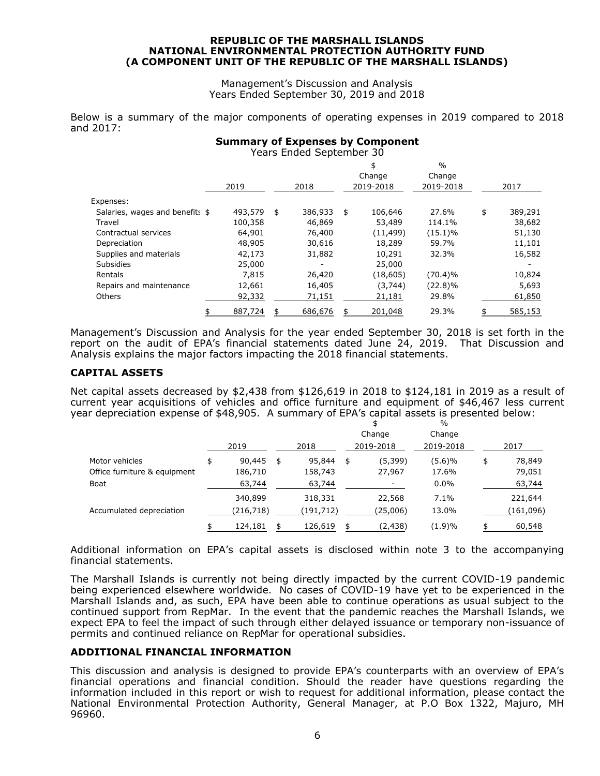Management's Discussion and Analysis Years Ended September 30, 2019 and 2018

Below is a summary of the major components of operating expenses in 2019 compared to 2018 and 2017:

| i cai s Liiucu beptember bu     |         |    |         |    |              |                |    |         |
|---------------------------------|---------|----|---------|----|--------------|----------------|----|---------|
|                                 |         |    |         |    | \$<br>Change | $\%$<br>Change |    |         |
|                                 | 2019    |    | 2018    |    | 2019-2018    | 2019-2018      |    | 2017    |
| Expenses:                       |         |    |         |    |              |                |    |         |
| Salaries, wages and benefits \$ | 493,579 | \$ | 386,933 | \$ | 106,646      | 27.6%          | \$ | 389,291 |
| Travel                          | 100,358 |    | 46,869  |    | 53,489       | 114.1%         |    | 38,682  |
| Contractual services            | 64,901  |    | 76,400  |    | (11, 499)    | $(15.1)\%$     |    | 51,130  |
| Depreciation                    | 48,905  |    | 30,616  |    | 18,289       | 59.7%          |    | 11,101  |
| Supplies and materials          | 42,173  |    | 31,882  |    | 10,291       | 32.3%          |    | 16,582  |
| <b>Subsidies</b>                | 25,000  |    |         |    | 25,000       |                |    |         |
| Rentals                         | 7,815   |    | 26,420  |    | (18,605)     | $(70.4)\%$     |    | 10,824  |
| Repairs and maintenance         | 12,661  |    | 16,405  |    | (3,744)      | (22.8)%        |    | 5,693   |
| <b>Others</b>                   | 92,332  |    | 71,151  |    | 21,181       | 29.8%          |    | 61,850  |
|                                 | 887,724 |    | 686,676 |    | 201,048      | 29.3%          |    | 585,153 |

**Summary of Expenses by Component** Years Ended September 30

Management's Discussion and Analysis for the year ended September 30, 2018 is set forth in the report on the audit of EPA's financial statements dated June 24, 2019. That Discussion and Analysis explains the major factors impacting the 2018 financial statements.

# **CAPITAL ASSETS**

Net capital assets decreased by \$2,438 from \$126,619 in 2018 to \$124,181 in 2019 as a result of current year acquisitions of vehicles and office furniture and equipment of \$46,467 less current year depreciation expense of \$48,905. A summary of EPA's capital assets is presented below:

|                                      |         | 2019                  |        | 2018                 |        | \$<br>Change<br>2019-2018 | $\frac{0}{0}$<br>Change<br>2019-2018 | 2017                  |
|--------------------------------------|---------|-----------------------|--------|----------------------|--------|---------------------------|--------------------------------------|-----------------------|
| Motor vehicles                       | \$      | 90,445                | \$     | 95,844               | \$     | (5,399)                   | (5.6)%                               | \$<br>78,849          |
| Office furniture & equipment<br>Boat | 186,710 | 158,743               | 27,967 | 17.6%<br>0.0%        | 79,051 |                           |                                      |                       |
|                                      |         | 63,744                |        | 63,744               |        |                           |                                      | 63,744                |
| Accumulated depreciation             |         | 340,899<br>(216, 718) |        | 318,331<br>(191,712) |        | 22,568<br>(25,006)        | 7.1%<br>13.0%                        | 221,644<br>(161, 096) |
|                                      |         | 124,181               |        | 126,619              |        | (2, 438)                  | (1.9)%                               | 60,548                |

Additional information on EPA's capital assets is disclosed within note 3 to the accompanying financial statements.

The Marshall Islands is currently not being directly impacted by the current COVID-19 pandemic being experienced elsewhere worldwide. No cases of COVID-19 have yet to be experienced in the Marshall Islands and, as such, EPA have been able to continue operations as usual subject to the continued support from RepMar. In the event that the pandemic reaches the Marshall Islands, we expect EPA to feel the impact of such through either delayed issuance or temporary non-issuance of permits and continued reliance on RepMar for operational subsidies.

# **ADDITIONAL FINANCIAL INFORMATION**

This discussion and analysis is designed to provide EPA's counterparts with an overview of EPA's financial operations and financial condition. Should the reader have questions regarding the information included in this report or wish to request for additional information, please contact the National Environmental Protection Authority, General Manager, at P.O Box 1322, Majuro, MH 96960.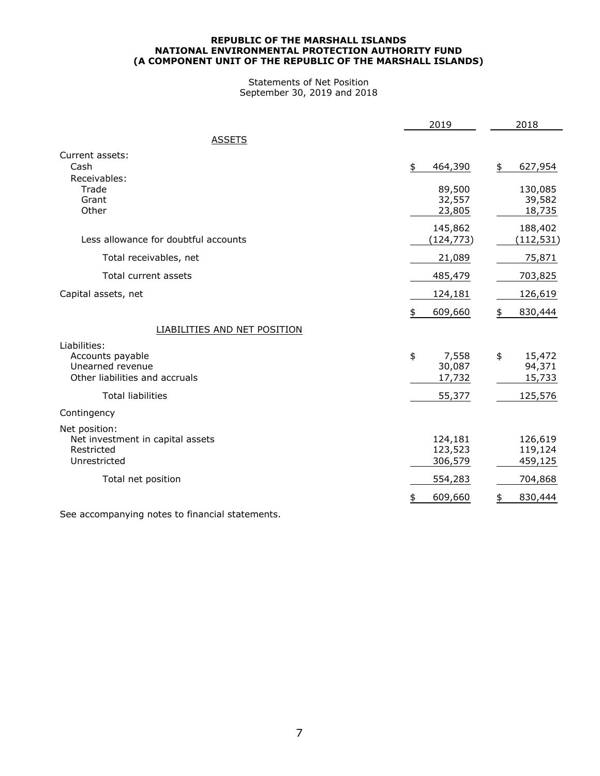#### **NATIONAL ENVIRONMENTAL PROTECTION AUTHORITY FUND REPUBLIC OF THE MARSHALL ISLANDS (A COMPONENT UNIT OF THE REPUBLIC OF THE MARSHALL ISLANDS)**

Statements of Net Position September 30, 2019 and 2018

|                                                                                                       | 2019                                                      | 2018                                                      |
|-------------------------------------------------------------------------------------------------------|-----------------------------------------------------------|-----------------------------------------------------------|
| <b>ASSETS</b>                                                                                         |                                                           |                                                           |
| Current assets:<br>Cash<br>Receivables:<br>Trade<br>Grant<br>Other                                    | \$<br>464,390<br>89,500<br>32,557<br>23,805               | \$<br>627,954<br>130,085<br>39,582<br>18,735              |
| Less allowance for doubtful accounts                                                                  | 145,862<br>(124, 773)                                     | 188,402<br>(112, 531)                                     |
| Total receivables, net                                                                                | 21,089                                                    | 75,871                                                    |
| Total current assets                                                                                  | 485,479                                                   | 703,825                                                   |
| Capital assets, net                                                                                   | 124,181                                                   | 126,619                                                   |
|                                                                                                       | 609,660<br>\$                                             | 830,444<br>\$                                             |
| LIABILITIES AND NET POSITION                                                                          |                                                           |                                                           |
| Liabilities:<br>Accounts payable<br>Unearned revenue<br>Other liabilities and accruals                | \$<br>7,558<br>30,087<br>17,732                           | \$<br>15,472<br>94,371<br>15,733                          |
| <b>Total liabilities</b>                                                                              | 55,377                                                    | 125,576                                                   |
| Contingency                                                                                           |                                                           |                                                           |
| Net position:<br>Net investment in capital assets<br>Restricted<br>Unrestricted<br>Total net position | 124,181<br>123,523<br>306,579<br>554,283<br>609,660<br>\$ | 126,619<br>119,124<br>459,125<br>704,868<br>830,444<br>\$ |
|                                                                                                       |                                                           |                                                           |

See accompanying notes to financial statements.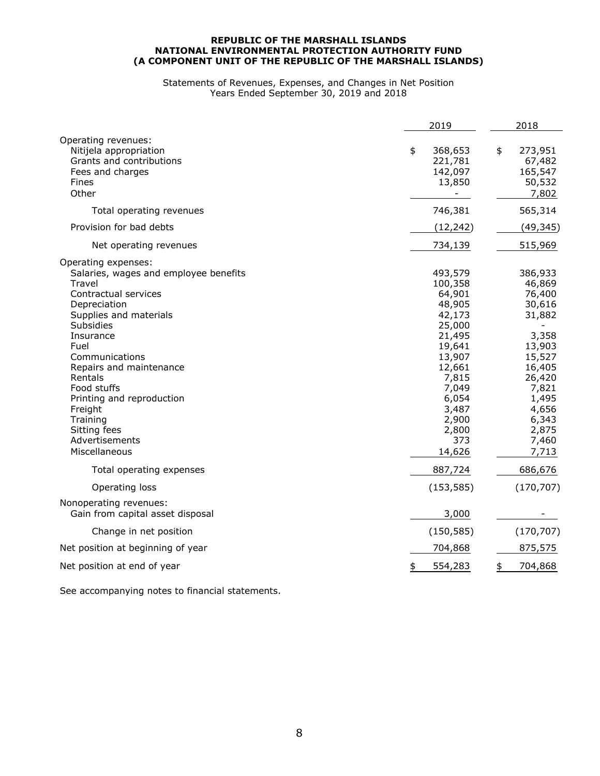# **NATIONAL ENVIRONMENTAL PROTECTION AUTHORITY FUND REPUBLIC OF THE MARSHALL ISLANDS (A COMPONENT UNIT OF THE REPUBLIC OF THE MARSHALL ISLANDS)**

Statements of Revenues, Expenses, and Changes in Net Position Years Ended September 30, 2019 and 2018

|                                                                                                                                                                                                                                                                                                                                                          | 2019                                                                                                                                                                      | 2018                                                                                                                                                            |
|----------------------------------------------------------------------------------------------------------------------------------------------------------------------------------------------------------------------------------------------------------------------------------------------------------------------------------------------------------|---------------------------------------------------------------------------------------------------------------------------------------------------------------------------|-----------------------------------------------------------------------------------------------------------------------------------------------------------------|
| Operating revenues:<br>Nitijela appropriation<br>Grants and contributions<br>Fees and charges<br>Fines<br>Other                                                                                                                                                                                                                                          | \$<br>368,653<br>221,781<br>142,097<br>13,850                                                                                                                             | \$<br>273,951<br>67,482<br>165,547<br>50,532<br>7,802                                                                                                           |
| Total operating revenues                                                                                                                                                                                                                                                                                                                                 | 746,381                                                                                                                                                                   | 565,314                                                                                                                                                         |
| Provision for bad debts                                                                                                                                                                                                                                                                                                                                  | (12, 242)                                                                                                                                                                 | (49, 345)                                                                                                                                                       |
| Net operating revenues                                                                                                                                                                                                                                                                                                                                   | 734,139                                                                                                                                                                   | 515,969                                                                                                                                                         |
| Operating expenses:<br>Salaries, wages and employee benefits<br>Travel<br>Contractual services<br>Depreciation<br>Supplies and materials<br>Subsidies<br>Insurance<br>Fuel<br>Communications<br>Repairs and maintenance<br>Rentals<br>Food stuffs<br>Printing and reproduction<br>Freight<br>Training<br>Sitting fees<br>Advertisements<br>Miscellaneous | 493,579<br>100,358<br>64,901<br>48,905<br>42,173<br>25,000<br>21,495<br>19,641<br>13,907<br>12,661<br>7,815<br>7,049<br>6,054<br>3,487<br>2,900<br>2,800<br>373<br>14,626 | 386,933<br>46,869<br>76,400<br>30,616<br>31,882<br>3,358<br>13,903<br>15,527<br>16,405<br>26,420<br>7,821<br>1,495<br>4,656<br>6,343<br>2,875<br>7,460<br>7,713 |
| Total operating expenses                                                                                                                                                                                                                                                                                                                                 | 887,724                                                                                                                                                                   | 686,676                                                                                                                                                         |
| Operating loss                                                                                                                                                                                                                                                                                                                                           | (153, 585)                                                                                                                                                                | (170, 707)                                                                                                                                                      |
| Nonoperating revenues:<br>Gain from capital asset disposal<br>Change in net position                                                                                                                                                                                                                                                                     | 3,000<br>(150, 585)                                                                                                                                                       | (170, 707)                                                                                                                                                      |
| Net position at beginning of year                                                                                                                                                                                                                                                                                                                        | 704,868                                                                                                                                                                   | 875,575                                                                                                                                                         |
| Net position at end of year                                                                                                                                                                                                                                                                                                                              | \$<br>554,283                                                                                                                                                             | \$<br>704,868                                                                                                                                                   |

See accompanying notes to financial statements.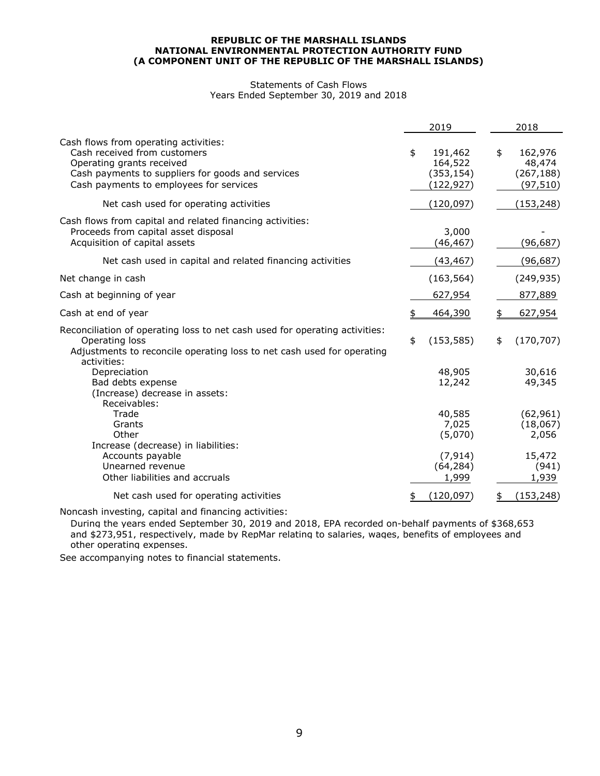#### **NATIONAL ENVIRONMENTAL PROTECTION AUTHORITY FUND REPUBLIC OF THE MARSHALL ISLANDS (A COMPONENT UNIT OF THE REPUBLIC OF THE MARSHALL ISLANDS)**

#### Statements of Cash Flows Years Ended September 30, 2019 and 2018

|                                                                                                                                                                                                    | 2019                                                | 2018                                               |
|----------------------------------------------------------------------------------------------------------------------------------------------------------------------------------------------------|-----------------------------------------------------|----------------------------------------------------|
| Cash flows from operating activities:<br>Cash received from customers<br>Operating grants received<br>Cash payments to suppliers for goods and services<br>Cash payments to employees for services | 191,462<br>\$<br>164,522<br>(353, 154)<br>(122,927) | \$<br>162,976<br>48,474<br>(267, 188)<br>(97, 510) |
| Net cash used for operating activities                                                                                                                                                             | (120, 097)                                          | (153, 248)                                         |
| Cash flows from capital and related financing activities:<br>Proceeds from capital asset disposal<br>Acquisition of capital assets                                                                 | 3,000<br>(46, 467)                                  | (96, 687)                                          |
| Net cash used in capital and related financing activities                                                                                                                                          | (43, 467)                                           | (96, 687)                                          |
| Net change in cash                                                                                                                                                                                 | (163, 564)                                          | (249, 935)                                         |
| Cash at beginning of year                                                                                                                                                                          | 627,954                                             | 877,889                                            |
| Cash at end of year                                                                                                                                                                                | 464,390<br>\$                                       | \$<br>627,954                                      |
| Reconciliation of operating loss to net cash used for operating activities:<br>Operating loss<br>Adjustments to reconcile operating loss to net cash used for operating<br>activities:             | (153, 585)<br>\$                                    | (170, 707)<br>\$                                   |
| Depreciation<br>Bad debts expense<br>(Increase) decrease in assets:<br>Receivables:                                                                                                                | 48,905<br>12,242                                    | 30,616<br>49,345                                   |
| Trade<br>Grants<br>Other<br>Increase (decrease) in liabilities:                                                                                                                                    | 40,585<br>7,025<br>(5,070)                          | (62, 961)<br>(18,067)<br>2,056                     |
| Accounts payable<br>Unearned revenue<br>Other liabilities and accruals                                                                                                                             | (7, 914)<br>(64, 284)<br>1,999                      | 15,472<br>(941)<br>1,939                           |
| Net cash used for operating activities                                                                                                                                                             | (120, 097)                                          | (153, 248)<br>\$                                   |

Noncash investing, capital and financing activities:

During the years ended September 30, 2019 and 2018, EPA recorded on-behalf payments of \$368,653 and \$273,951, respectively, made by RepMar relating to salaries, wages, benefits of employees and other operating expenses.

See accompanying notes to financial statements.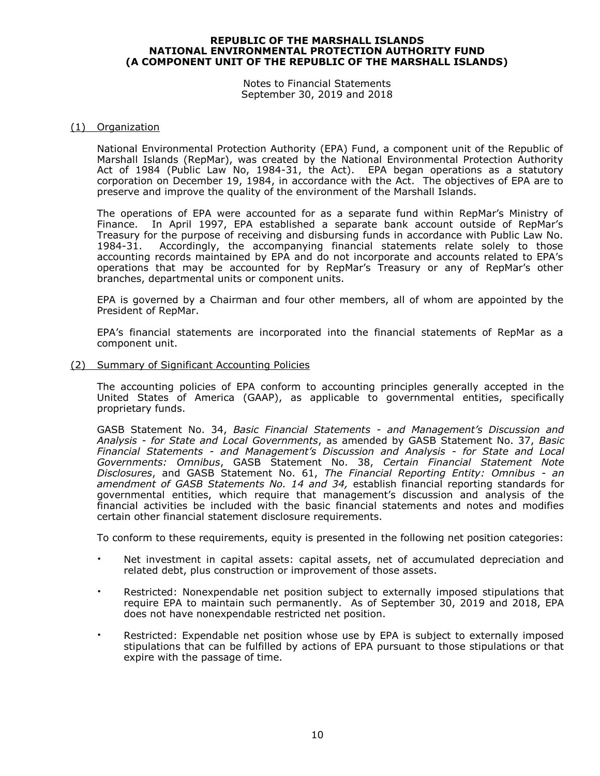Notes to Financial Statements September 30, 2019 and 2018

# (1) Organization

National Environmental Protection Authority (EPA) Fund, a component unit of the Republic of Marshall Islands (RepMar), was created by the National Environmental Protection Authority Act of 1984 (Public Law No, 1984-31, the Act). EPA began operations as a statutory corporation on December 19, 1984, in accordance with the Act. The objectives of EPA are to preserve and improve the quality of the environment of the Marshall Islands.

The operations of EPA were accounted for as a separate fund within RepMar's Ministry of Finance. In April 1997, EPA established a separate bank account outside of RepMar's Treasury for the purpose of receiving and disbursing funds in accordance with Public Law No. 1984-31. Accordingly, the accompanying financial statements relate solely to those accounting records maintained by EPA and do not incorporate and accounts related to EPA's operations that may be accounted for by RepMar's Treasury or any of RepMar's other branches, departmental units or component units.

EPA is governed by a Chairman and four other members, all of whom are appointed by the President of RepMar.

EPA's financial statements are incorporated into the financial statements of RepMar as a component unit.

#### (2) Summary of Significant Accounting Policies

The accounting policies of EPA conform to accounting principles generally accepted in the United States of America (GAAP), as applicable to governmental entities, specifically proprietary funds.

GASB Statement No. 34, *Basic Financial Statements - and Management's Discussion and Analysis - for State and Local Governments*, as amended by GASB Statement No. 37, *Basic Financial Statements - and Management's Discussion and Analysis - for State and Local Governments: Omnibus*, GASB Statement No. 38, *Certain Financial Statement Note Disclosures*, and GASB Statement No. 61, *The Financial Reporting Entity: Omnibus - an amendment of GASB Statements No. 14 and 34,* establish financial reporting standards for governmental entities, which require that management's discussion and analysis of the financial activities be included with the basic financial statements and notes and modifies certain other financial statement disclosure requirements.

To conform to these requirements, equity is presented in the following net position categories:

- Net investment in capital assets: capital assets, net of accumulated depreciation and related debt, plus construction or improvement of those assets.
- Restricted: Nonexpendable net position subject to externally imposed stipulations that require EPA to maintain such permanently. As of September 30, 2019 and 2018, EPA does not have nonexpendable restricted net position.
- Restricted: Expendable net position whose use by EPA is subject to externally imposed stipulations that can be fulfilled by actions of EPA pursuant to those stipulations or that expire with the passage of time.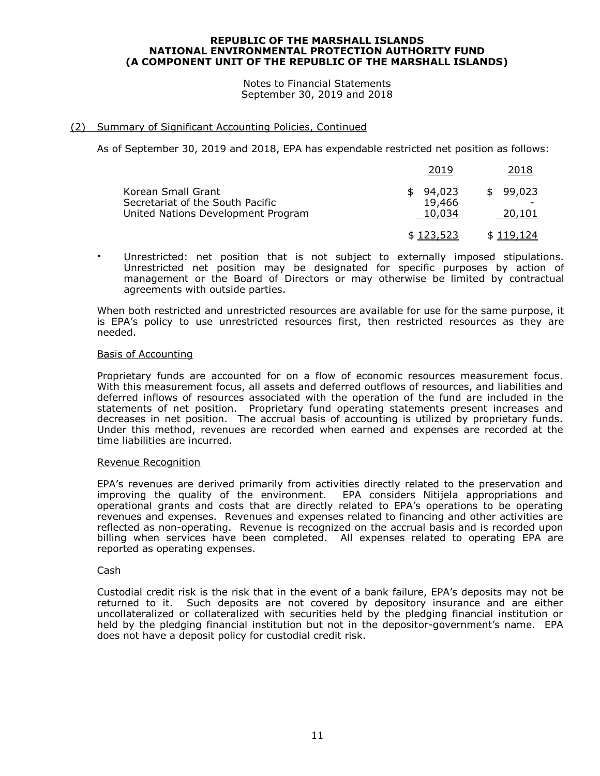Notes to Financial Statements September 30, 2019 and 2018

# (2) Summary of Significant Accounting Policies, Continued

As of September 30, 2019 and 2018, EPA has expendable restricted net position as follows:

|                                                                                              | 2019                       | 2018               |
|----------------------------------------------------------------------------------------------|----------------------------|--------------------|
| Korean Small Grant<br>Secretariat of the South Pacific<br>United Nations Development Program | 94,023<br>19,466<br>10,034 | \$99,023<br>20,101 |
|                                                                                              | \$123,523                  | \$119.124          |

 Unrestricted: net position that is not subject to externally imposed stipulations. Unrestricted net position may be designated for specific purposes by action of management or the Board of Directors or may otherwise be limited by contractual agreements with outside parties.

When both restricted and unrestricted resources are available for use for the same purpose, it is EPA's policy to use unrestricted resources first, then restricted resources as they are needed.

# Basis of Accounting

Proprietary funds are accounted for on a flow of economic resources measurement focus. With this measurement focus, all assets and deferred outflows of resources, and liabilities and deferred inflows of resources associated with the operation of the fund are included in the statements of net position. Proprietary fund operating statements present increases and decreases in net position. The accrual basis of accounting is utilized by proprietary funds. Under this method, revenues are recorded when earned and expenses are recorded at the time liabilities are incurred.

#### Revenue Recognition

EPA's revenues are derived primarily from activities directly related to the preservation and improving the quality of the environment. EPA considers Nitijela appropriations and operational grants and costs that are directly related to EPA's operations to be operating revenues and expenses. Revenues and expenses related to financing and other activities are reflected as non-operating. Revenue is recognized on the accrual basis and is recorded upon billing when services have been completed. All expenses related to operating EPA are reported as operating expenses.

# Cash

Custodial credit risk is the risk that in the event of a bank failure, EPA's deposits may not be returned to it. Such deposits are not covered by depository insurance and are either uncollateralized or collateralized with securities held by the pledging financial institution or held by the pledging financial institution but not in the depositor-government's name. EPA does not have a deposit policy for custodial credit risk.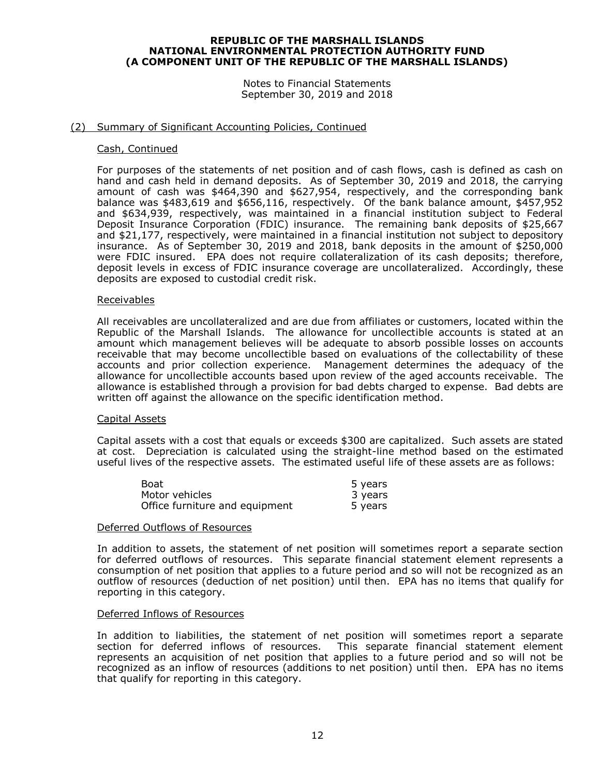Notes to Financial Statements September 30, 2019 and 2018

# (2) Summary of Significant Accounting Policies, Continued

#### Cash, Continued

For purposes of the statements of net position and of cash flows, cash is defined as cash on hand and cash held in demand deposits. As of September 30, 2019 and 2018, the carrying amount of cash was \$464,390 and \$627,954, respectively, and the corresponding bank balance was \$483,619 and \$656,116, respectively. Of the bank balance amount, \$457,952 and \$634,939, respectively, was maintained in a financial institution subject to Federal Deposit Insurance Corporation (FDIC) insurance. The remaining bank deposits of \$25,667 and \$21,177, respectively, were maintained in a financial institution not subject to depository insurance. As of September 30, 2019 and 2018, bank deposits in the amount of \$250,000 were FDIC insured. EPA does not require collateralization of its cash deposits; therefore, deposit levels in excess of FDIC insurance coverage are uncollateralized. Accordingly, these deposits are exposed to custodial credit risk.

#### Receivables

All receivables are uncollateralized and are due from affiliates or customers, located within the Republic of the Marshall Islands. The allowance for uncollectible accounts is stated at an amount which management believes will be adequate to absorb possible losses on accounts receivable that may become uncollectible based on evaluations of the collectability of these accounts and prior collection experience. Management determines the adequacy of the allowance for uncollectible accounts based upon review of the aged accounts receivable. The allowance is established through a provision for bad debts charged to expense. Bad debts are written off against the allowance on the specific identification method.

#### Capital Assets

Capital assets with a cost that equals or exceeds \$300 are capitalized. Such assets are stated at cost. Depreciation is calculated using the straight-line method based on the estimated useful lives of the respective assets. The estimated useful life of these assets are as follows:

| Boat                           | 5 years |
|--------------------------------|---------|
| Motor vehicles                 | 3 years |
| Office furniture and equipment | 5 years |

#### Deferred Outflows of Resources

In addition to assets, the statement of net position will sometimes report a separate section for deferred outflows of resources. This separate financial statement element represents a consumption of net position that applies to a future period and so will not be recognized as an outflow of resources (deduction of net position) until then. EPA has no items that qualify for reporting in this category.

# Deferred Inflows of Resources

In addition to liabilities, the statement of net position will sometimes report a separate section for deferred inflows of resources. This separate financial statement element represents an acquisition of net position that applies to a future period and so will not be recognized as an inflow of resources (additions to net position) until then. EPA has no items that qualify for reporting in this category.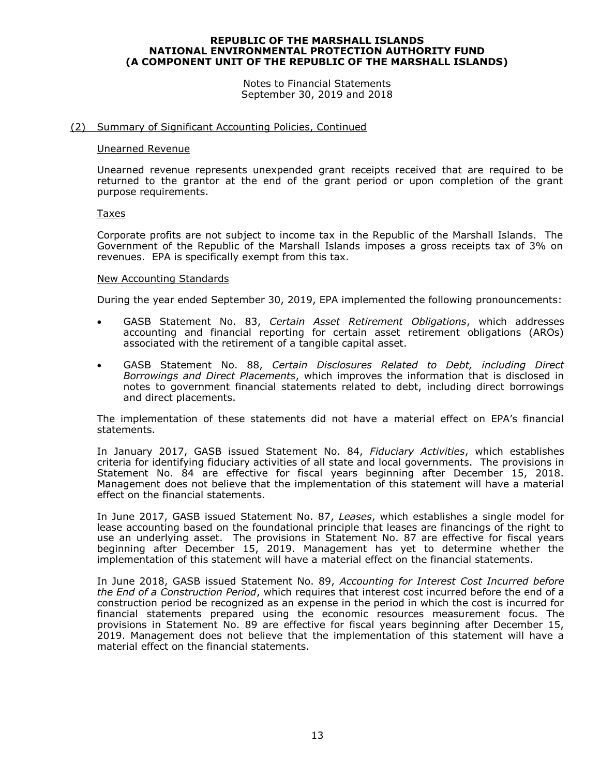Notes to Financial Statements September 30, 2019 and 2018

#### (2) Summary of Significant Accounting Policies, Continued

#### Unearned Revenue

Unearned revenue represents unexpended grant receipts received that are required to be returned to the grantor at the end of the grant period or upon completion of the grant purpose requirements.

#### Taxes

Corporate profits are not subject to income tax in the Republic of the Marshall Islands. The Government of the Republic of the Marshall Islands imposes a gross receipts tax of 3% on revenues. EPA is specifically exempt from this tax.

#### New Accounting Standards

During the year ended September 30, 2019, EPA implemented the following pronouncements:

- GASB Statement No. 83, *Certain Asset Retirement Obligations*, which addresses accounting and financial reporting for certain asset retirement obligations (AROs) associated with the retirement of a tangible capital asset.
- GASB Statement No. 88, *Certain Disclosures Related to Debt, including Direct Borrowings and Direct Placements*, which improves the information that is disclosed in notes to government financial statements related to debt, including direct borrowings and direct placements.

The implementation of these statements did not have a material effect on EPA's financial statements.

In January 2017, GASB issued Statement No. 84, *Fiduciary Activities*, which establishes criteria for identifying fiduciary activities of all state and local governments. The provisions in Statement No. 84 are effective for fiscal years beginning after December 15, 2018. Management does not believe that the implementation of this statement will have a material effect on the financial statements.

In June 2017, GASB issued Statement No. 87, *Leases*, which establishes a single model for lease accounting based on the foundational principle that leases are financings of the right to use an underlying asset. The provisions in Statement No. 87 are effective for fiscal years beginning after December 15, 2019. Management has yet to determine whether the implementation of this statement will have a material effect on the financial statements.

In June 2018, GASB issued Statement No. 89, *Accounting for Interest Cost Incurred before the End of a Construction Period*, which requires that interest cost incurred before the end of a construction period be recognized as an expense in the period in which the cost is incurred for financial statements prepared using the economic resources measurement focus. The provisions in Statement No. 89 are effective for fiscal years beginning after December 15, 2019. Management does not believe that the implementation of this statement will have a material effect on the financial statements.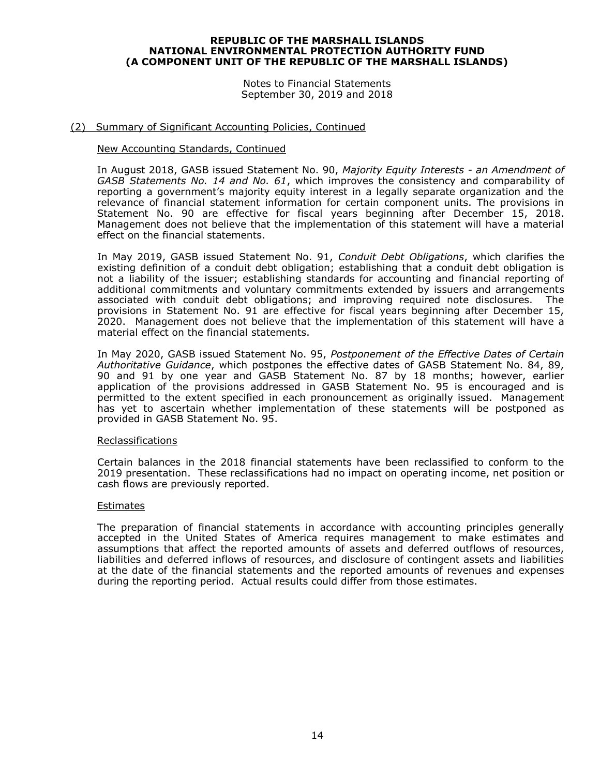Notes to Financial Statements September 30, 2019 and 2018

# (2) Summary of Significant Accounting Policies, Continued

#### New Accounting Standards, Continued

In August 2018, GASB issued Statement No. 90, *Majority Equity Interests - an Amendment of GASB Statements No. 14 and No. 61*, which improves the consistency and comparability of reporting a government's majority equity interest in a legally separate organization and the relevance of financial statement information for certain component units. The provisions in Statement No. 90 are effective for fiscal years beginning after December 15, 2018. Management does not believe that the implementation of this statement will have a material effect on the financial statements.

In May 2019, GASB issued Statement No. 91, *Conduit Debt Obligations*, which clarifies the existing definition of a conduit debt obligation; establishing that a conduit debt obligation is not a liability of the issuer; establishing standards for accounting and financial reporting of additional commitments and voluntary commitments extended by issuers and arrangements associated with conduit debt obligations; and improving required note disclosures. The provisions in Statement No. 91 are effective for fiscal years beginning after December 15, 2020. Management does not believe that the implementation of this statement will have a material effect on the financial statements.

In May 2020, GASB issued Statement No. 95, *Postponement of the Effective Dates of Certain Authoritative Guidance*, which postpones the effective dates of GASB Statement No. 84, 89, 90 and 91 by one year and GASB Statement No. 87 by 18 months; however, earlier application of the provisions addressed in GASB Statement No. 95 is encouraged and is permitted to the extent specified in each pronouncement as originally issued. Management has yet to ascertain whether implementation of these statements will be postponed as provided in GASB Statement No. 95.

#### **Reclassifications**

Certain balances in the 2018 financial statements have been reclassified to conform to the 2019 presentation. These reclassifications had no impact on operating income, net position or cash flows are previously reported.

#### Estimates

The preparation of financial statements in accordance with accounting principles generally accepted in the United States of America requires management to make estimates and assumptions that affect the reported amounts of assets and deferred outflows of resources, liabilities and deferred inflows of resources, and disclosure of contingent assets and liabilities at the date of the financial statements and the reported amounts of revenues and expenses during the reporting period. Actual results could differ from those estimates.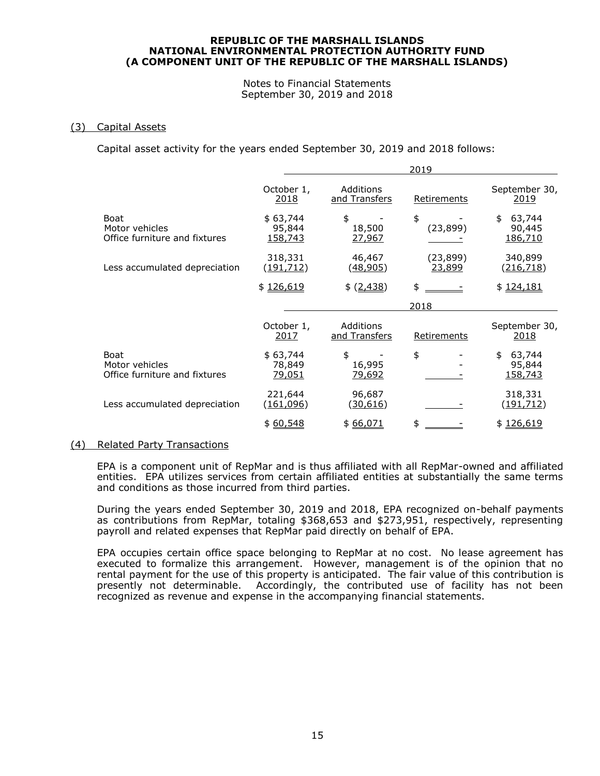Notes to Financial Statements September 30, 2019 and 2018

# (3) Capital Assets

Capital asset activity for the years ended September 30, 2019 and 2018 follows:

|                                                                | 2019                                |                            |                     |                                          |  |  |
|----------------------------------------------------------------|-------------------------------------|----------------------------|---------------------|------------------------------------------|--|--|
|                                                                | October 1,<br>2018                  | Additions<br>and Transfers | Retirements         | September 30,<br>2019                    |  |  |
| <b>Boat</b><br>Motor vehicles<br>Office furniture and fixtures | \$63,744<br>95,844<br>158,743       | \$<br>18,500<br>27,967     | \$<br>(23, 899)     | 63,744<br>\$<br>90,445<br>186,710        |  |  |
| Less accumulated depreciation                                  | 318,331<br><u>(191,712)</u>         | 46,467<br><u>(48,905)</u>  | (23, 899)<br>23,899 | 340,899<br><u>(216,718)</u>              |  |  |
|                                                                | \$126,619                           | \$ (2,438)                 | \$                  | \$124,181                                |  |  |
|                                                                |                                     |                            | 2018                |                                          |  |  |
|                                                                | October 1,<br>2017                  | Additions<br>and Transfers | Retirements         | September 30,<br><u> 2018 </u>           |  |  |
| <b>Boat</b><br>Motor vehicles<br>Office furniture and fixtures | \$63,744<br>78,849<br><u>79,051</u> | \$<br>16,995<br>79,692     | \$                  | \$<br>63,744<br>95,844<br><u>158,743</u> |  |  |
| Less accumulated depreciation                                  | 221,644<br><u>(161,096)</u>         | 96,687<br><u>(30,616)</u>  |                     | 318,331<br><u>(191,712)</u>              |  |  |
|                                                                | \$60,548                            | \$66,071                   | \$                  | \$126,619                                |  |  |

# (4) Related Party Transactions

EPA is a component unit of RepMar and is thus affiliated with all RepMar-owned and affiliated entities. EPA utilizes services from certain affiliated entities at substantially the same terms and conditions as those incurred from third parties.

During the years ended September 30, 2019 and 2018, EPA recognized on-behalf payments as contributions from RepMar, totaling \$368,653 and \$273,951, respectively, representing payroll and related expenses that RepMar paid directly on behalf of EPA.

EPA occupies certain office space belonging to RepMar at no cost. No lease agreement has executed to formalize this arrangement. However, management is of the opinion that no rental payment for the use of this property is anticipated. The fair value of this contribution is presently not determinable. Accordingly, the contributed use of facility has not been recognized as revenue and expense in the accompanying financial statements.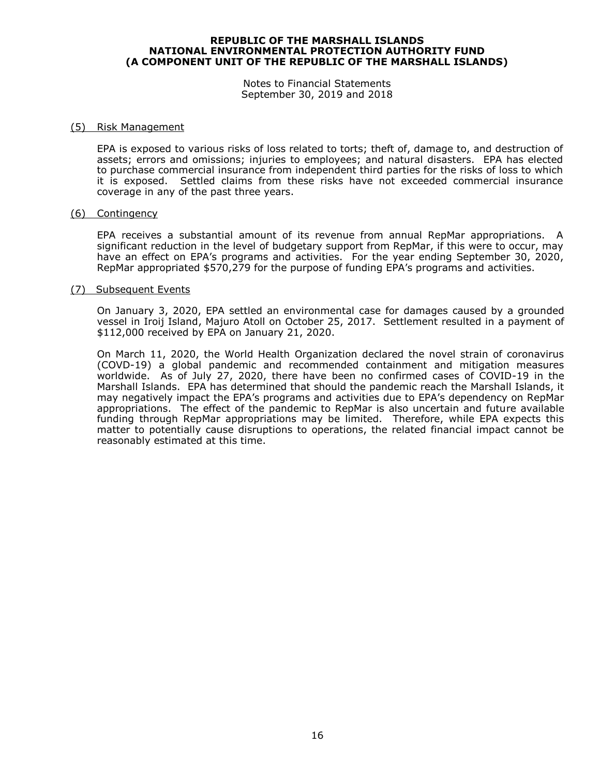Notes to Financial Statements September 30, 2019 and 2018

#### (5) Risk Management

EPA is exposed to various risks of loss related to torts; theft of, damage to, and destruction of assets; errors and omissions; injuries to employees; and natural disasters. EPA has elected to purchase commercial insurance from independent third parties for the risks of loss to which it is exposed. Settled claims from these risks have not exceeded commercial insurance coverage in any of the past three years.

#### (6) Contingency

EPA receives a substantial amount of its revenue from annual RepMar appropriations. A significant reduction in the level of budgetary support from RepMar, if this were to occur, may have an effect on EPA's programs and activities. For the year ending September 30, 2020, RepMar appropriated \$570,279 for the purpose of funding EPA's programs and activities.

#### (7) Subsequent Events

On January 3, 2020, EPA settled an environmental case for damages caused by a grounded vessel in Iroij Island, Majuro Atoll on October 25, 2017. Settlement resulted in a payment of \$112,000 received by EPA on January 21, 2020.

On March 11, 2020, the World Health Organization declared the novel strain of coronavirus (COVD-19) a global pandemic and recommended containment and mitigation measures worldwide. As of July 27, 2020, there have been no confirmed cases of COVID-19 in the Marshall Islands. EPA has determined that should the pandemic reach the Marshall Islands, it may negatively impact the EPA's programs and activities due to EPA's dependency on RepMar appropriations. The effect of the pandemic to RepMar is also uncertain and future available funding through RepMar appropriations may be limited. Therefore, while EPA expects this matter to potentially cause disruptions to operations, the related financial impact cannot be reasonably estimated at this time.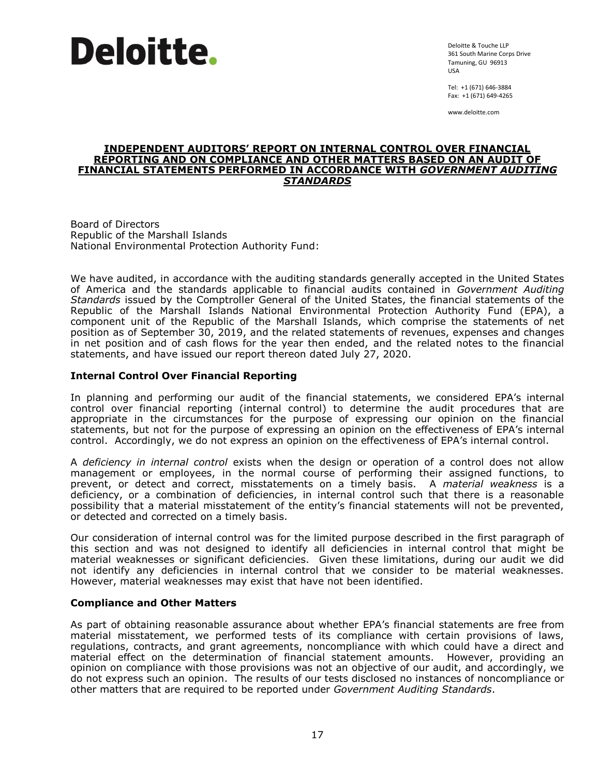

Deloitte & Touche LLP 361 South Marine Corps Drive Tamuning, GU 96913 USA

Tel: +1 (671) 646-3884 Fax: +1 (671) 649-4265

www.deloitte.com

#### **INDEPENDENT AUDITORS' REPORT ON INTERNAL CONTROL OVER FINANCIAL REPORTING AND ON COMPLIANCE AND OTHER MATTERS BASED ON AN AUDIT OF FINANCIAL STATEMENTS PERFORMED IN ACCORDANCE WITH** *GOVERNMENT AUDITING STANDARDS*

Board of Directors Republic of the Marshall Islands National Environmental Protection Authority Fund:

We have audited, in accordance with the auditing standards generally accepted in the United States of America and the standards applicable to financial audits contained in *Government Auditing Standards* issued by the Comptroller General of the United States, the financial statements of the Republic of the Marshall Islands National Environmental Protection Authority Fund (EPA), a component unit of the Republic of the Marshall Islands, which comprise the statements of net position as of September 30, 2019, and the related statements of revenues, expenses and changes in net position and of cash flows for the year then ended, and the related notes to the financial statements, and have issued our report thereon dated July 27, 2020.

# **Internal Control Over Financial Reporting**

In planning and performing our audit of the financial statements, we considered EPA's internal control over financial reporting (internal control) to determine the audit procedures that are appropriate in the circumstances for the purpose of expressing our opinion on the financial statements, but not for the purpose of expressing an opinion on the effectiveness of EPA's internal control. Accordingly, we do not express an opinion on the effectiveness of EPA's internal control.

A *deficiency in internal control* exists when the design or operation of a control does not allow management or employees, in the normal course of performing their assigned functions, to prevent, or detect and correct, misstatements on a timely basis. A *material weakness* is a deficiency, or a combination of deficiencies, in internal control such that there is a reasonable possibility that a material misstatement of the entity's financial statements will not be prevented, or detected and corrected on a timely basis.

Our consideration of internal control was for the limited purpose described in the first paragraph of this section and was not designed to identify all deficiencies in internal control that might be material weaknesses or significant deficiencies. Given these limitations, during our audit we did not identify any deficiencies in internal control that we consider to be material weaknesses. However, material weaknesses may exist that have not been identified.

# **Compliance and Other Matters**

As part of obtaining reasonable assurance about whether EPA's financial statements are free from material misstatement, we performed tests of its compliance with certain provisions of laws, regulations, contracts, and grant agreements, noncompliance with which could have a direct and material effect on the determination of financial statement amounts. However, providing an opinion on compliance with those provisions was not an objective of our audit, and accordingly, we do not express such an opinion. The results of our tests disclosed no instances of noncompliance or other matters that are required to be reported under *Government Auditing Standards*.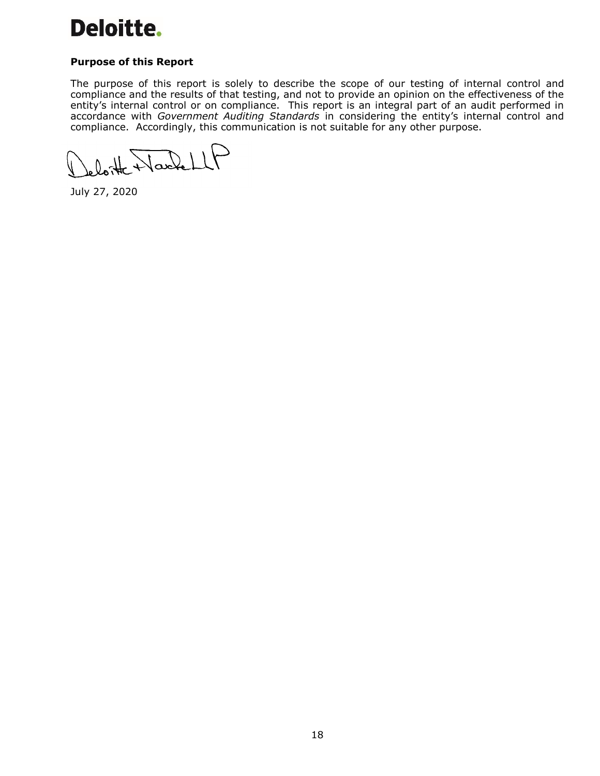# Deloitte.

# **Purpose of this Report**

The purpose of this report is solely to describe the scope of our testing of internal control and compliance and the results of that testing, and not to provide an opinion on the effectiveness of the entity's internal control or on compliance. This report is an integral part of an audit performed in accordance with *Government Auditing Standards* in considering the entity's internal control and compliance. Accordingly, this communication is not suitable for any other purpose.

loite Nachell

July 27, 2020